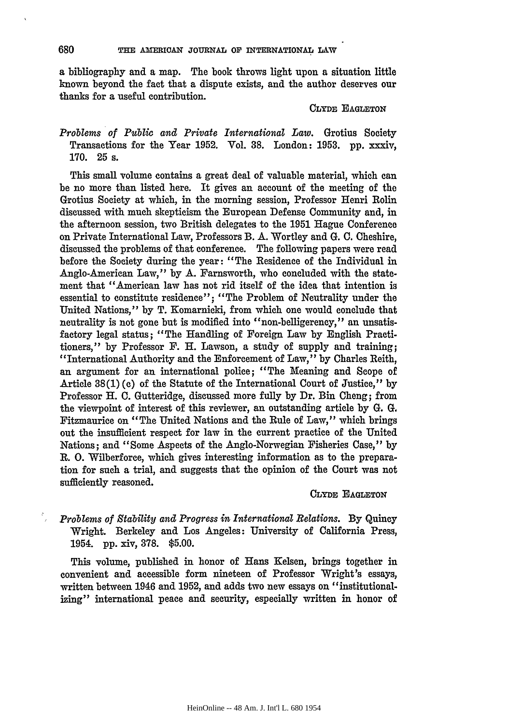a bibliography and a map. The book throws light upon a situation little known beyond the fact that a dispute exists, and the author deserves our thanks for a useful contribution.

## **CLYDE EAGLETON**

*Problems of Public and Private International Law.* Grotius Society Transactions for the Year 1952. Vol. 38. London: 1953. pp. xxxiv, 170. 25 s.

This small volume contains a great deal of valuable material, which can be no more than listed here. It gives an account of the meeting of the Grotius Society at which, in the morning session, Professor Henri Rolin discussed with much skepticism the European Defense Community and, in the afternoon session, two British delegates to the 1951 Hague Conference on Private International Law, Professors B. A. Wortley and **G.** C. Cheshire, discussed the problems of that conference. The following papers were read before the Society during the year: "The Residence of the Individual in Anglo-American Law," by A. Farnsworth, who concluded with the statement that "American law has not rid itself of the idea that intention is essential to constitute residence"; "The Problem of Neutrality under the United Nations," **by** T. Komarnicki, from which one would conclude that neutrality is not gone but is modified into "non-belligerency," an unsatisfactory legal status; "The Handling of Foreign Law **by** English Practitioners," **by** Professor F. H. Lawson, a study of supply and training; "International Authority and the Enforcement of Law," **by** Charles Reith, an argument for an international police; "The Meaning and Scope of Article **38(1) (c)** of the Statute of the International Court of Justice," **by** Professor H. **C.** Gutteridge, discussed more fully **by** Dr. Bin Cheng; from the viewpoint of interest of this reviewer, an outstanding article **by G. G.** Fitzmaurice on "The United Nations and the Rule of Law," which brings out the insufficient respect for law in the current practice of the United Nations; and "Some Aspects of the Anglo-Norwegian Fisheries Case," **by** R. **0.** Wilberforce, which gives interesting information as to the preparation for such a trial, and suggests that the opinion of the Court was not sufficiently reasoned.

## **CLYDE EAGLETON**

*Problems of Stability and Progress in International Relations.* **By** Quincy Wright. Berkeley and Los Angeles: University of California Press, 1954. pp. xiv, 378. \$5.00.

This volume, published in honor of Hans Kelsen, brings together in convenient and accessible form nineteen of Professor Wright's essays, written between 1946 and 1952, and adds two new essays on "institutionalizing" international peace and security, especially written in honor of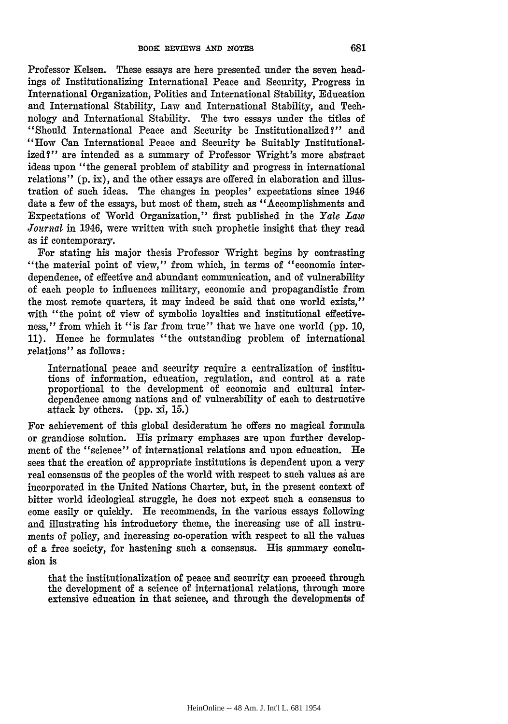Professor Kelsen. These essays are here presented under the seven headings of Institutionalizing International Peace and Security, Progress in International Organization, Politics and International Stability, Education and International Stability, Law and International Stability, and Technology and International Stability. The two essays under the titles of "Should International Peace and Security be Institutionalized?" and "How Can International Peace and Security be Suitably Institutionalized?" are intended as a summary of Professor Wright's more abstract ideas upon "the general problem of stability and progress in international relations" **(p.** ix), and the other essays are offered in elaboration and **illus**tration of such ideas. The changes in peoples' expectations since 1946 date a few of the essays, but most of them, such as "Accomplishments and Expectations of World Organization," first published in the *Yale Law Journal* in 1946, were written with such prophetic insight that they read as **if** contemporary.

For stating his major thesis Professor Wright begins **by** contrasting "the material point of view," from which, in terms of "economic interdependence, of effective and abundant communication, and of vulnerability of each people to influences military, economic and propagandistic from the most remote quarters, it may indeed be said that one world exists," with "the point of view of symbolic loyalties and institutional effectiveness," from which it "is far from true" that we have one world **(pp.** 10, **11).** Hence he formulates "the outstanding problem of international relations" as follows:

International peace and security require a centralization of institutions of information, education, regulation, and control at a rate proportional to the development of economic and cultural interdependence among nations and of vulnerability of each to destructive attack **by** others. **(pp.** xi, **15.)**

For achievement of this global desideratum he offers no magical formula or grandiose solution. His primary emphases are upon further development of the "science" of international relations and upon education. He sees that the creation of appropriate institutions is dependent upon a very real consensus of the peoples of the world with respect to such values **as** are incorporated in the United Nations Charter, but, in the present context of bitter world ideological struggle, he does not expect such a consensus to come easily or quickly. He recommends, in the various essays following and illustrating his introductory theme, the increasing use of all instruments of policy, and increasing co-operation with respect to all the values of a free society, for hastening such a consensus. His summary conclusion is

that the institutionalization of peace and security can proceed through the development of a science of international relations, through more extensive education in that science, and through the developments of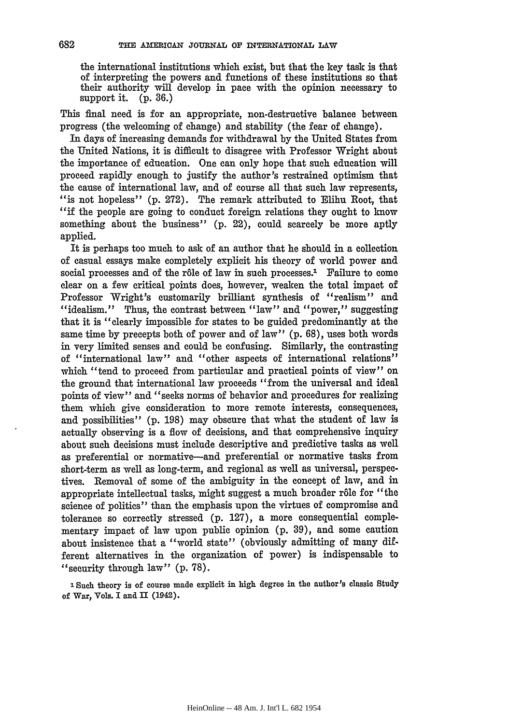the international institutions which exist, but that the key task is that of interpreting the powers and functions of these institutions so that their authority will develop in pace with the opinion necessary to support it.  $(p. 36.)$ support it.

This **final** need is for an appropriate, non-destructive balance between progress (the welcoming of change) and stability (the fear of change).

**In** days of increasing demands for withdrawal by the United States from the United Nations, it is difficult to disagree with Professor Wright about the importance of education. One can only hope that such education will proceed rapidly enough to justify the author's restrained optimism that the cause of international law, and of course all that such law represents, "is not hopeless" (p. 272). The remark attributed to Elihu Root, that "if the people are going to conduct foreign relations they ought to know something about the business" (p. 22), could scarcely be more aptly applied.

It is perhaps too much to ask of an author that he should in a collection of casual essays make completely explicit his theory of world power and social processes and of the rôle of law in such processes.<sup>1</sup> Failure to come clear on a few critical points does, however, weaken the total impact of Professor Wright's customarily brilliant synthesis of "realism" and "idealism." Thus, the contrast between "law" and "power," suggesting that it is "clearly impossible for states to be guided predominantly at the same time by precepts both of power and of law" (p. 68), uses both words in very limited senses and could be confusing. Similarly, the contrasting of "international law" and "other aspects of international relations" which "tend to proceed from particular and practical points of view" on the ground that international law proceeds "from the universal and ideal points of view" and "seeks norms of behavior and procedures for realizing them which give consideration to more remote interests, consequences, and possibilities" (p. 198) may obscure that what the student of law is actually observing is a flow of decisions, and that comprehensive inquiry about such decisions must include descriptive and predictive tasks as well as preferential or normative-and preferential or normative tasks from short-term as well as long-term, and regional as well as universal, perspectives. Removal of some of the ambiguity in the concept of law, and in appropriate intellectual tasks, might suggest a much broader rôle for "the science of politics" than the emphasis upon the virtues of compromise and tolerance so correctly stressed (p. 127), a more consequential complementary impact of law upon public opinion (p. 39), and some caution about insistence that a "world state" (obviously admitting of many different alternatives in the organization of power) is indispensable to "security through law" (p. 78).

**1 Such theory is of course made** explicit **in high degree** in **the author's classic Study** of **War, Vols. I and II (1942).**